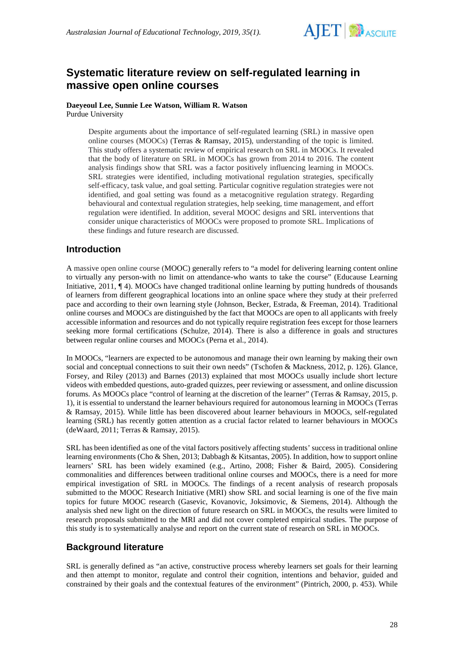

# **Systematic literature review on self-regulated learning in massive open online courses**

### **Daeyeoul Lee, Sunnie Lee Watson, William R. Watson** Purdue University

Despite arguments about the importance of self-regulated learning (SRL) in massive open online courses (MOOCs) (Terras & Ramsay, 2015), understanding of the topic is limited. This study offers a systematic review of empirical research on SRL in MOOCs. It revealed that the body of literature on SRL in MOOCs has grown from 2014 to 2016. The content analysis findings show that SRL was a factor positively influencing learning in MOOCs. SRL strategies were identified, including motivational regulation strategies, specifically self-efficacy, task value, and goal setting. Particular cognitive regulation strategies were not identified, and goal setting was found as a metacognitive regulation strategy. Regarding behavioural and contextual regulation strategies, help seeking, time management, and effort regulation were identified. In addition, several MOOC designs and SRL interventions that consider unique characteristics of MOOCs were proposed to promote SRL. Implications of these findings and future research are discussed.

# **Introduction**

A massive open online course (MOOC) generally refers to "a model for delivering learning content online to virtually any person-with no limit on attendance-who wants to take the course" (Educause Learning Initiative, 2011,  $\P$ 4). MOOCs have changed traditional online learning by putting hundreds of thousands of learners from different geographical locations into an online space where they study at their preferred pace and according to their own learning style (Johnson, Becker, Estrada, & Freeman, 2014). Traditional online courses and MOOCs are distinguished by the fact that MOOCs are open to all applicants with freely accessible information and resources and do not typically require registration fees except for those learners seeking more formal certifications (Schulze, 2014). There is also a difference in goals and structures between regular online courses and MOOCs (Perna et al., 2014).

In MOOCs, "learners are expected to be autonomous and manage their own learning by making their own social and conceptual connections to suit their own needs" (Tschofen & Mackness, 2012, p. 126). Glance, Forsey, and Riley (2013) and Barnes (2013) explained that most MOOCs usually include short lecture videos with embedded questions, auto-graded quizzes, peer reviewing or assessment, and online discussion forums. As MOOCs place "control of learning at the discretion of the learner" (Terras & Ramsay, 2015, p. 1), it is essential to understand the learner behaviours required for autonomous learning in MOOCs (Terras & Ramsay, 2015). While little has been discovered about learner behaviours in MOOCs, self-regulated learning (SRL) has recently gotten attention as a crucial factor related to learner behaviours in MOOCs (deWaard, 2011; Terras & Ramsay, 2015).

SRL has been identified as one of the vital factors positively affecting students' success in traditional online learning environments (Cho & Shen, 2013; Dabbagh & Kitsantas, 2005). In addition, how to support online learners' SRL has been widely examined (e.g., Artino, 2008; Fisher & Baird, 2005). Considering commonalities and differences between traditional online courses and MOOCs, there is a need for more empirical investigation of SRL in MOOCs. The findings of a recent analysis of research proposals submitted to the MOOC Research Initiative (MRI) show SRL and social learning is one of the five main topics for future MOOC research (Gasevic, Kovanovic, Joksimovic, & Siemens, 2014). Although the analysis shed new light on the direction of future research on SRL in MOOCs, the results were limited to research proposals submitted to the MRI and did not cover completed empirical studies. The purpose of this study is to systematically analyse and report on the current state of research on SRL in MOOCs.

# **Background literature**

SRL is generally defined as "an active, constructive process whereby learners set goals for their learning and then attempt to monitor, regulate and control their cognition, intentions and behavior, guided and constrained by their goals and the contextual features of the environment" (Pintrich, 2000, p. 453). While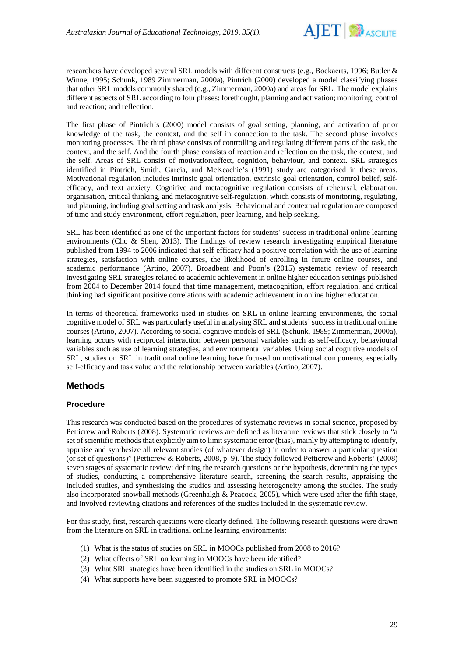

researchers have developed several SRL models with different constructs (e.g., Boekaerts, 1996; Butler & Winne, 1995; Schunk, 1989 Zimmerman, 2000a), Pintrich (2000) developed a model classifying phases that other SRL models commonly shared (e.g., Zimmerman, 2000a) and areas for SRL. The model explains different aspects of SRL according to four phases: forethought, planning and activation; monitoring; control and reaction; and reflection.

The first phase of Pintrich's (2000) model consists of goal setting, planning, and activation of prior knowledge of the task, the context, and the self in connection to the task. The second phase involves monitoring processes. The third phase consists of controlling and regulating different parts of the task, the context, and the self. And the fourth phase consists of reaction and reflection on the task, the context, and the self. Areas of SRL consist of motivation/affect, cognition, behaviour, and context. SRL strategies identified in Pintrich, Smith, Garcia, and McKeachie's (1991) study are categorised in these areas. Motivational regulation includes intrinsic goal orientation, extrinsic goal orientation, control belief, selfefficacy, and text anxiety. Cognitive and metacognitive regulation consists of rehearsal, elaboration, organisation, critical thinking, and metacognitive self-regulation, which consists of monitoring, regulating, and planning, including goal setting and task analysis. Behavioural and contextual regulation are composed of time and study environment, effort regulation, peer learning, and help seeking.

SRL has been identified as one of the important factors for students' success in traditional online learning environments (Cho & Shen, 2013). The findings of review research investigating empirical literature published from 1994 to 2006 indicated that self-efficacy had a positive correlation with the use of learning strategies, satisfaction with online courses, the likelihood of enrolling in future online courses, and academic performance (Artino, 2007). Broadbent and Poon's (2015) systematic review of research investigating SRL strategies related to academic achievement in online higher education settings published from 2004 to December 2014 found that time management, metacognition, effort regulation, and critical thinking had significant positive correlations with academic achievement in online higher education.

In terms of theoretical frameworks used in studies on SRL in online learning environments, the social cognitive model of SRL was particularly useful in analysing SRL and students' success in traditional online courses (Artino, 2007). According to social cognitive models of SRL (Schunk, 1989; Zimmerman, 2000a), learning occurs with reciprocal interaction between personal variables such as self-efficacy, behavioural variables such as use of learning strategies, and environmental variables. Using social cognitive models of SRL, studies on SRL in traditional online learning have focused on motivational components, especially self-efficacy and task value and the relationship between variables (Artino, 2007).

# **Methods**

## **Procedure**

This research was conducted based on the procedures of systematic reviews in social science, proposed by Petticrew and Roberts (2008). Systematic reviews are defined as literature reviews that stick closely to "a set of scientific methods that explicitly aim to limit systematic error (bias), mainly by attempting to identify, appraise and synthesize all relevant studies (of whatever design) in order to answer a particular question (or set of questions)" (Petticrew & Roberts, 2008, p. 9). The study followed Petticrew and Roberts' (2008) seven stages of systematic review: defining the research questions or the hypothesis, determining the types of studies, conducting a comprehensive literature search, screening the search results, appraising the included studies, and synthesising the studies and assessing heterogeneity among the studies. The study also incorporated snowball methods (Greenhalgh & Peacock, 2005), which were used after the fifth stage, and involved reviewing citations and references of the studies included in the systematic review.

For this study, first, research questions were clearly defined. The following research questions were drawn from the literature on SRL in traditional online learning environments:

- (1) What is the status of studies on SRL in MOOCs published from 2008 to 2016?
- (2) What effects of SRL on learning in MOOCs have been identified?
- (3) What SRL strategies have been identified in the studies on SRL in MOOCs?
- (4) What supports have been suggested to promote SRL in MOOCs?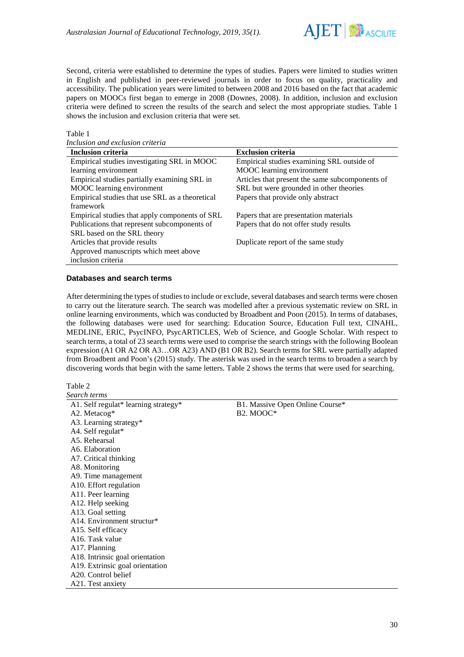

Second, criteria were established to determine the types of studies. Papers were limited to studies written in English and published in peer-reviewed journals in order to focus on quality, practicality and accessibility. The publication years were limited to between 2008 and 2016 based on the fact that academic papers on MOOCs first began to emerge in 2008 (Downes, 2008). In addition, inclusion and exclusion criteria were defined to screen the results of the search and select the most appropriate studies. Table 1 shows the inclusion and exclusion criteria that were set.

#### Table 1

*Inclusion and exclusion criteria*

| <b>Inclusion criteria</b>                       | <b>Exclusion criteria</b>                       |
|-------------------------------------------------|-------------------------------------------------|
| Empirical studies investigating SRL in MOOC     | Empirical studies examining SRL outside of      |
| learning environment                            | MOOC learning environment                       |
| Empirical studies partially examining SRL in    | Articles that present the same subcomponents of |
| MOOC learning environment                       | SRL but were grounded in other theories         |
| Empirical studies that use SRL as a theoretical | Papers that provide only abstract               |
| framework                                       |                                                 |
| Empirical studies that apply components of SRL  | Papers that are presentation materials          |
| Publications that represent subcomponents of    | Papers that do not offer study results          |
| SRL based on the SRL theory                     |                                                 |
| Articles that provide results                   | Duplicate report of the same study              |
| Approved manuscripts which meet above           |                                                 |
| inclusion criteria                              |                                                 |

### **Databases and search terms**

After determining the types of studies to include or exclude, several databases and search terms were chosen to carry out the literature search. The search was modelled after a previous systematic review on SRL in online learning environments, which was conducted by Broadbent and Poon (2015). In terms of databases, the following databases were used for searching: Education Source, Education Full text, CINAHL, MEDLINE, ERIC, PsycINFO, PsycARTICLES, Web of Science, and Google Scholar. With respect to search terms, a total of 23 search terms were used to comprise the search strings with the following Boolean expression (A1 OR A2 OR A3…OR A23) AND (B1 OR B2). Search terms for SRL were partially adapted from Broadbent and Poon's (2015) study. The asterisk was used in the search terms to broaden a search by discovering words that begin with the same letters. Table 2 shows the terms that were used for searching.

Table 2

| Search terms                         |                                 |
|--------------------------------------|---------------------------------|
| A1. Self regulat* learning strategy* | B1. Massive Open Online Course* |
| A2. Metacog $*$                      | B <sub>2</sub> . MOOC*          |
| A3. Learning strategy*               |                                 |
| A4. Self regulat*                    |                                 |
| A5. Rehearsal                        |                                 |
| A6. Elaboration                      |                                 |
| A7. Critical thinking                |                                 |
| A8. Monitoring                       |                                 |
| A9. Time management                  |                                 |
| A10. Effort regulation               |                                 |
| A11. Peer learning                   |                                 |
| A12. Help seeking                    |                                 |
| A13. Goal setting                    |                                 |
| A14. Environment structur*           |                                 |
| A15. Self efficacy                   |                                 |
| A <sub>16</sub> . Task value         |                                 |
| A17. Planning                        |                                 |
| A18. Intrinsic goal orientation      |                                 |
| A19. Extrinsic goal orientation      |                                 |
| A20. Control belief                  |                                 |
| A21. Test anxiety                    |                                 |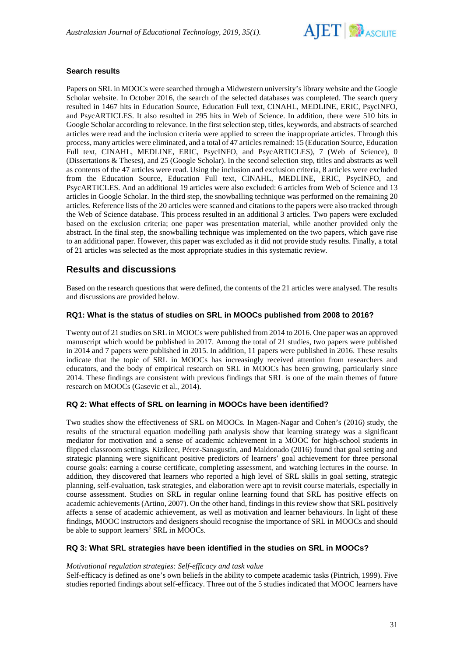

## **Search results**

Papers on SRL in MOOCs were searched through a Midwestern university's library website and the Google Scholar website. In October 2016, the search of the selected databases was completed. The search query resulted in 1467 hits in Education Source, Education Full text, CINAHL, MEDLINE, ERIC, PsycINFO, and PsycARTICLES. It also resulted in 295 hits in Web of Science. In addition, there were 510 hits in Google Scholar according to relevance. In the first selection step, titles, keywords, and abstracts of searched articles were read and the inclusion criteria were applied to screen the inappropriate articles. Through this process, many articles were eliminated, and a total of 47 articles remained: 15 (Education Source, Education Full text, CINAHL, MEDLINE, ERIC, PsycINFO, and PsycARTICLES), 7 (Web of Science), 0 (Dissertations & Theses), and 25 (Google Scholar). In the second selection step, titles and abstracts as well as contents of the 47 articles were read. Using the inclusion and exclusion criteria, 8 articles were excluded from the Education Source, Education Full text, CINAHL, MEDLINE, ERIC, PsycINFO, and PsycARTICLES. And an additional 19 articles were also excluded: 6 articles from Web of Science and 13 articles in Google Scholar. In the third step, the snowballing technique was performed on the remaining 20 articles. Reference lists of the 20 articles were scanned and citations to the papers were also tracked through the Web of Science database. This process resulted in an additional 3 articles. Two papers were excluded based on the exclusion criteria; one paper was presentation material, while another provided only the abstract. In the final step, the snowballing technique was implemented on the two papers, which gave rise to an additional paper. However, this paper was excluded as it did not provide study results. Finally, a total of 21 articles was selected as the most appropriate studies in this systematic review.

# **Results and discussions**

Based on the research questions that were defined, the contents of the 21 articles were analysed. The results and discussions are provided below.

## **RQ1: What is the status of studies on SRL in MOOCs published from 2008 to 2016?**

Twenty out of 21 studies on SRL in MOOCs were published from 2014 to 2016. One paper was an approved manuscript which would be published in 2017. Among the total of 21 studies, two papers were published in 2014 and 7 papers were published in 2015. In addition, 11 papers were published in 2016. These results indicate that the topic of SRL in MOOCs has increasingly received attention from researchers and educators, and the body of empirical research on SRL in MOOCs has been growing, particularly since 2014. These findings are consistent with previous findings that SRL is one of the main themes of future research on MOOCs (Gasevic et al., 2014).

## **RQ 2: What effects of SRL on learning in MOOCs have been identified?**

Two studies show the effectiveness of SRL on MOOCs. In Magen-Nagar and Cohen's (2016) study, the results of the structural equation modelling path analysis show that learning strategy was a significant mediator for motivation and a sense of academic achievement in a MOOC for high-school students in flipped classroom settings. Kizilcec, Pérez-Sanagustín, and Maldonado (2016) found that goal setting and strategic planning were significant positive predictors of learners' goal achievement for three personal course goals: earning a course certificate, completing assessment, and watching lectures in the course. In addition, they discovered that learners who reported a high level of SRL skills in goal setting, strategic planning, self-evaluation, task strategies, and elaboration were apt to revisit course materials, especially in course assessment. Studies on SRL in regular online learning found that SRL has positive effects on academic achievements (Artino, 2007). On the other hand, findings in this review show that SRL positively affects a sense of academic achievement, as well as motivation and learner behaviours. In light of these findings, MOOC instructors and designers should recognise the importance of SRL in MOOCs and should be able to support learners' SRL in MOOCs.

## **RQ 3: What SRL strategies have been identified in the studies on SRL in MOOCs?**

### *Motivational regulation strategies: Self-efficacy and task value*

Self-efficacy is defined as one's own beliefs in the ability to compete academic tasks (Pintrich, 1999). Five studies reported findings about self-efficacy. Three out of the 5 studies indicated that MOOC learners have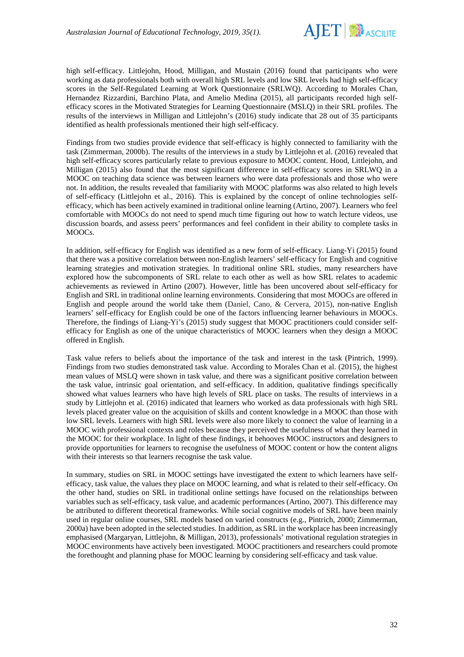

high self-efficacy. Littlejohn, Hood, Milligan, and Mustain (2016) found that participants who were working as data professionals both with overall high SRL levels and low SRL levels had high self-efficacy scores in the Self-Regulated Learning at Work Questionnaire (SRLWQ). According to Morales Chan, Hernandez Rizzardini, Barchino Plata, and Amelio Medina (2015), all participants recorded high selfefficacy scores in the Motivated Strategies for Learning Questionnaire (MSLQ) in their SRL profiles. The results of the interviews in Milligan and Littlejohn's (2016) study indicate that 28 out of 35 participants identified as health professionals mentioned their high self-efficacy.

Findings from two studies provide evidence that self-efficacy is highly connected to familiarity with the task (Zimmerman, 2000b). The results of the interviews in a study by Littlejohn et al. (2016) revealed that high self-efficacy scores particularly relate to previous exposure to MOOC content. Hood, Littlejohn, and Milligan (2015) also found that the most significant difference in self-efficacy scores in SRLWQ in a MOOC on teaching data science was between learners who were data professionals and those who were not. In addition, the results revealed that familiarity with MOOC platforms was also related to high levels of self-efficacy (Littlejohn et al., 2016). This is explained by the concept of online technologies selfefficacy, which has been actively examined in traditional online learning (Artino, 2007). Learners who feel comfortable with MOOCs do not need to spend much time figuring out how to watch lecture videos, use discussion boards, and assess peers' performances and feel confident in their ability to complete tasks in MOOCs.

In addition, self-efficacy for English was identified as a new form of self-efficacy. Liang-Yi (2015) found that there was a positive correlation between non-English learners' self-efficacy for English and cognitive learning strategies and motivation strategies. In traditional online SRL studies, many researchers have explored how the subcomponents of SRL relate to each other as well as how SRL relates to academic achievements as reviewed in Artino (2007). However, little has been uncovered about self-efficacy for English and SRL in traditional online learning environments. Considering that most MOOCs are offered in English and people around the world take them (Daniel, Cano, & Cervera, 2015), non-native English learners' self-efficacy for English could be one of the factors influencing learner behaviours in MOOCs. Therefore, the findings of Liang-Yi's (2015) study suggest that MOOC practitioners could consider selfefficacy for English as one of the unique characteristics of MOOC learners when they design a MOOC offered in English.

Task value refers to beliefs about the importance of the task and interest in the task (Pintrich, 1999). Findings from two studies demonstrated task value. According to Morales Chan et al. (2015), the highest mean values of MSLQ were shown in task value, and there was a significant positive correlation between the task value, intrinsic goal orientation, and self-efficacy. In addition, qualitative findings specifically showed what values learners who have high levels of SRL place on tasks. The results of interviews in a study by Littlejohn et al. (2016) indicated that learners who worked as data professionals with high SRL levels placed greater value on the acquisition of skills and content knowledge in a MOOC than those with low SRL levels. Learners with high SRL levels were also more likely to connect the value of learning in a MOOC with professional contexts and roles because they perceived the usefulness of what they learned in the MOOC for their workplace. In light of these findings, it behooves MOOC instructors and designers to provide opportunities for learners to recognise the usefulness of MOOC content or how the content aligns with their interests so that learners recognise the task value.

In summary, studies on SRL in MOOC settings have investigated the extent to which learners have selfefficacy, task value, the values they place on MOOC learning, and what is related to their self-efficacy. On the other hand, studies on SRL in traditional online settings have focused on the relationships between variables such as self-efficacy, task value, and academic performances (Artino, 2007). This difference may be attributed to different theoretical frameworks. While social cognitive models of SRL have been mainly used in regular online courses, SRL models based on varied constructs (e.g., Pintrich, 2000; Zimmerman, 2000a) have been adopted in the selected studies. In addition, as SRL in the workplace has been increasingly emphasised (Margaryan, Littlejohn, & Milligan, 2013), professionals' motivational regulation strategies in MOOC environments have actively been investigated. MOOC practitioners and researchers could promote the forethought and planning phase for MOOC learning by considering self-efficacy and task value.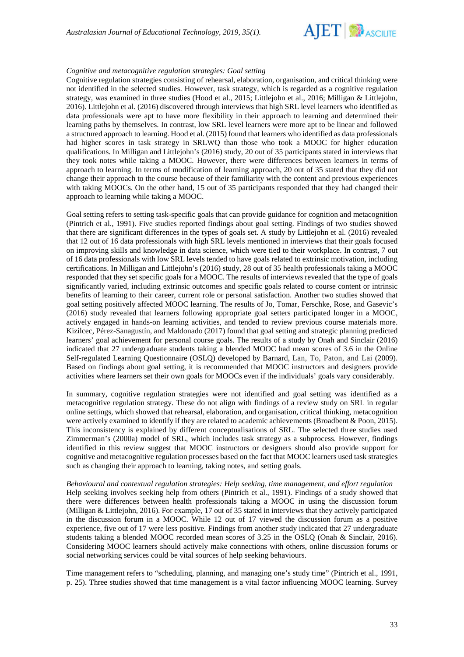

#### *Cognitive and metacognitive regulation strategies: Goal setting*

Cognitive regulation strategies consisting of rehearsal, elaboration, organisation, and critical thinking were not identified in the selected studies. However, task strategy, which is regarded as a cognitive regulation strategy, was examined in three studies (Hood et al., 2015; Littlejohn et al., 2016; Milligan & Littlejohn, 2016). Littlejohn et al. (2016) discovered through interviews that high SRL level learners who identified as data professionals were apt to have more flexibility in their approach to learning and determined their learning paths by themselves. In contrast, low SRL level learners were more apt to be linear and followed a structured approach to learning. Hood et al. (2015) found that learners who identified as data professionals had higher scores in task strategy in SRLWQ than those who took a MOOC for higher education qualifications. In Milligan and Littlejohn's (2016) study, 20 out of 35 participants stated in interviews that they took notes while taking a MOOC. However, there were differences between learners in terms of approach to learning. In terms of modification of learning approach, 20 out of 35 stated that they did not change their approach to the course because of their familiarity with the content and previous experiences with taking MOOCs. On the other hand, 15 out of 35 participants responded that they had changed their approach to learning while taking a MOOC.

Goal setting refers to setting task-specific goals that can provide guidance for cognition and metacognition (Pintrich et al., 1991). Five studies reported findings about goal setting. Findings of two studies showed that there are significant differences in the types of goals set. A study by Littlejohn et al. (2016) revealed that 12 out of 16 data professionals with high SRL levels mentioned in interviews that their goals focused on improving skills and knowledge in data science, which were tied to their workplace. In contrast, 7 out of 16 data professionals with low SRL levels tended to have goals related to extrinsic motivation, including certifications. In Milligan and Littlejohn's (2016) study, 28 out of 35 health professionals taking a MOOC responded that they set specific goals for a MOOC. The results of interviews revealed that the type of goals significantly varied, including extrinsic outcomes and specific goals related to course content or intrinsic benefits of learning to their career, current role or personal satisfaction. Another two studies showed that goal setting positively affected MOOC learning. The results of Jo, Tomar, Ferschke, Rose, and Gasevic's (2016) study revealed that learners following appropriate goal setters participated longer in a MOOC, actively engaged in hands-on learning activities, and tended to review previous course materials more. Kizilcec, Pérez-Sanagustín, and Maldonado (2017) found that goal setting and strategic planning predicted learners' goal achievement for personal course goals. The results of a study by Onah and Sinclair (2016) indicated that 27 undergraduate students taking a blended MOOC had mean scores of 3.6 in the Online Self-regulated Learning Questionnaire (OSLQ) developed by Barnard, Lan, To, Paton, and Lai (2009). Based on findings about goal setting, it is recommended that MOOC instructors and designers provide activities where learners set their own goals for MOOCs even if the individuals' goals vary considerably.

In summary, cognitive regulation strategies were not identified and goal setting was identified as a metacognitive regulation strategy. These do not align with findings of a review study on SRL in regular online settings, which showed that rehearsal, elaboration, and organisation, critical thinking, metacognition were actively examined to identify if they are related to academic achievements (Broadbent & Poon, 2015). This inconsistency is explained by different conceptualisations of SRL. The selected three studies used Zimmerman's (2000a) model of SRL, which includes task strategy as a subprocess. However, findings identified in this review suggest that MOOC instructors or designers should also provide support for cognitive and metacognitive regulation processes based on the fact that MOOC learners used task strategies such as changing their approach to learning, taking notes, and setting goals.

*Behavioural and contextual regulation strategies: Help seeking, time management, and effort regulation* Help seeking involves seeking help from others (Pintrich et al., 1991). Findings of a study showed that there were differences between health professionals taking a MOOC in using the discussion forum (Milligan & Littlejohn, 2016). For example, 17 out of 35 stated in interviews that they actively participated in the discussion forum in a MOOC. While 12 out of 17 viewed the discussion forum as a positive experience, five out of 17 were less positive. Findings from another study indicated that 27 undergraduate students taking a blended MOOC recorded mean scores of 3.25 in the OSLQ (Onah & Sinclair, 2016). Considering MOOC learners should actively make connections with others, online discussion forums or social networking services could be vital sources of help seeking behaviours.

Time management refers to "scheduling, planning, and managing one's study time" (Pintrich et al., 1991, p. 25). Three studies showed that time management is a vital factor influencing MOOC learning. Survey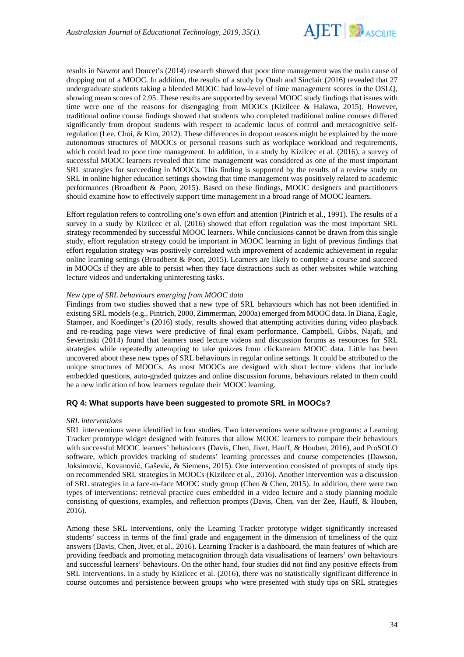

results in Nawrot and Doucet's (2014) research showed that poor time management was the main cause of dropping out of a MOOC. In addition, the results of a study by Onah and Sinclair (2016) revealed that 27 undergraduate students taking a blended MOOC had low-level of time management scores in the OSLQ, showing mean scores of 2.95. These results are supported by several MOOC study findings that issues with time were one of the reasons for disengaging from MOOCs (Kizilcec & Halawa, 2015). However, traditional online course findings showed that students who completed traditional online courses differed significantly from dropout students with respect to academic locus of control and metacognitive selfregulation (Lee, Choi, & Kim, 2012). These differences in dropout reasons might be explained by the more autonomous structures of MOOCs or personal reasons such as workplace workload and requirements, which could lead to poor time management. In addition, in a study by Kizilcec et al. (2016), a survey of successful MOOC learners revealed that time management was considered as one of the most important SRL strategies for succeeding in MOOCs. This finding is supported by the results of a review study on SRL in online higher education settings showing that time management was positively related to academic performances (Broadbent & Poon, 2015). Based on these findings, MOOC designers and practitioners should examine how to effectively support time management in a broad range of MOOC learners.

Effort regulation refers to controlling one's own effort and attention (Pintrich et al., 1991). The results of a survey in a study by Kizilcec et al. (2016) showed that effort regulation was the most important SRL strategy recommended by successful MOOC learners. While conclusions cannot be drawn from this single study, effort regulation strategy could be important in MOOC learning in light of previous findings that effort regulation strategy was positively correlated with improvement of academic achievement in regular online learning settings (Broadbent & Poon, 2015). Learners are likely to complete a course and succeed in MOOCs if they are able to persist when they face distractions such as other websites while watching lecture videos and undertaking uninteresting tasks.

### *New type of SRL behaviours emerging from MOOC data*

Findings from two studies showed that a new type of SRL behaviours which has not been identified in existing SRL models (e.g., Pintrich, 2000, Zimmerman, 2000a) emerged from MOOC data. In Diana, Eagle, Stamper, and Koedinger's (2016) study, results showed that attempting activities during video playback and re-reading page views were predictive of final exam performance. Campbell, Gibbs, Najafi, and Severinski (2014) found that learners used lecture videos and discussion forums as resources for SRL strategies while repeatedly attempting to take quizzes from clickstream MOOC data. Little has been uncovered about these new types of SRL behaviours in regular online settings. It could be attributed to the unique structures of MOOCs. As most MOOCs are designed with short lecture videos that include embedded questions, auto-graded quizzes and online discussion forums, behaviours related to them could be a new indication of how learners regulate their MOOC learning.

## **RQ 4: What supports have been suggested to promote SRL in MOOCs?**

#### *SRL interventions*

SRL interventions were identified in four studies. Two interventions were software programs: a Learning Tracker prototype widget designed with features that allow MOOC learners to compare their behaviours with successful MOOC learners' behaviours (Davis, Chen, Jivet, Hauff, & Houben, 2016), and ProSOLO software, which provides tracking of students' learning processes and course competencies (Dawson, Joksimović, Kovanović, Gašević, & Siemens, 2015). One intervention consisted of prompts of study tips on recommended SRL strategies in MOOCs (Kizilcec et al., 2016). Another intervention was a discussion of SRL strategies in a face-to-face MOOC study group (Chen & Chen, 2015). In addition, there were two types of interventions: retrieval practice cues embedded in a video lecture and a study planning module consisting of questions, examples, and reflection prompts (Davis, Chen, van der Zee, Hauff, & Houben, 2016).

Among these SRL interventions, only the Learning Tracker prototype widget significantly increased students' success in terms of the final grade and engagement in the dimension of timeliness of the quiz answers (Davis, Chen, Jivet, et al., 2016). Learning Tracker is a dashboard, the main features of which are providing feedback and promoting metacognition through data visualisations of learners' own behaviours and successful learners' behaviours. On the other hand, four studies did not find any positive effects from SRL interventions. In a study by Kizilcec et al. (2016), there was no statistically significant difference in course outcomes and persistence between groups who were presented with study tips on SRL strategies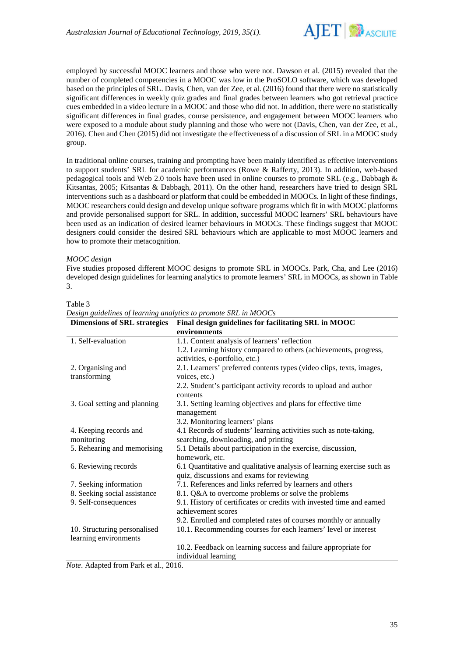

employed by successful MOOC learners and those who were not. Dawson et al. (2015) revealed that the number of completed competencies in a MOOC was low in the ProSOLO software, which was developed based on the principles of SRL. Davis, Chen, van der Zee, et al. (2016) found that there were no statistically significant differences in weekly quiz grades and final grades between learners who got retrieval practice cues embedded in a video lecture in a MOOC and those who did not. In addition, there were no statistically significant differences in final grades, course persistence, and engagement between MOOC learners who were exposed to a module about study planning and those who were not (Davis, Chen, van der Zee, et al., 2016). Chen and Chen (2015) did not investigate the effectiveness of a discussion of SRL in a MOOC study group.

In traditional online courses, training and prompting have been mainly identified as effective interventions to support students' SRL for academic performances (Rowe & Rafferty, 2013). In addition, web-based pedagogical tools and Web 2.0 tools have been used in online courses to promote SRL (e.g., Dabbagh & Kitsantas, 2005; Kitsantas & Dabbagh, 2011). On the other hand, researchers have tried to design SRL interventions such as a dashboard or platform that could be embedded in MOOCs. In light of these findings, MOOC researchers could design and develop unique software programs which fit in with MOOC platforms and provide personalised support for SRL. In addition, successful MOOC learners' SRL behaviours have been used as an indication of desired learner behaviours in MOOCs. These findings suggest that MOOC designers could consider the desired SRL behaviours which are applicable to most MOOC learners and how to promote their metacognition.

### *MOOC design*

Five studies proposed different MOOC designs to promote SRL in MOOCs. Park, Cha, and Lee (2016) developed design guidelines for learning analytics to promote learners' SRL in MOOCs, as shown in Table 3.

| ×<br>۰,<br>×<br>٠<br>×<br>٧<br>ı |  |
|----------------------------------|--|
|----------------------------------|--|

| <b>Dimensions of SRL strategies</b> | Final design guidelines for facilitating SRL in MOOC                                        |
|-------------------------------------|---------------------------------------------------------------------------------------------|
|                                     | environments                                                                                |
| 1. Self-evaluation                  | 1.1. Content analysis of learners' reflection                                               |
|                                     | 1.2. Learning history compared to others (achievements, progress,                           |
|                                     | activities, e-portfolio, etc.)                                                              |
| 2. Organising and                   | 2.1. Learners' preferred contents types (video clips, texts, images,                        |
| transforming                        | voices, etc.)                                                                               |
|                                     | 2.2. Student's participant activity records to upload and author                            |
|                                     | contents                                                                                    |
| 3. Goal setting and planning        | 3.1. Setting learning objectives and plans for effective time<br>management                 |
|                                     | 3.2. Monitoring learners' plans                                                             |
| 4. Keeping records and              | 4.1 Records of students' learning activities such as note-taking,                           |
| monitoring                          | searching, downloading, and printing                                                        |
| 5. Rehearing and memorising         | 5.1 Details about participation in the exercise, discussion,                                |
|                                     | homework, etc.                                                                              |
| 6. Reviewing records                | 6.1 Quantitative and qualitative analysis of learning exercise such as                      |
|                                     | quiz, discussions and exams for reviewing                                                   |
| 7. Seeking information              | 7.1. References and links referred by learners and others                                   |
| 8. Seeking social assistance        | 8.1. Q&A to overcome problems or solve the problems                                         |
| 9. Self-consequences                | 9.1. History of certificates or credits with invested time and earned<br>achievement scores |
|                                     | 9.2. Enrolled and completed rates of courses monthly or annually                            |
| 10. Structuring personalised        | 10.1. Recommending courses for each learners' level or interest                             |
| learning environments               |                                                                                             |
|                                     | 10.2. Feedback on learning success and failure appropriate for                              |
|                                     | individual learning                                                                         |

*Design guidelines of learning analytics to promote SRL in MOOCs*

*Note*. Adapted from Park et al., 2016.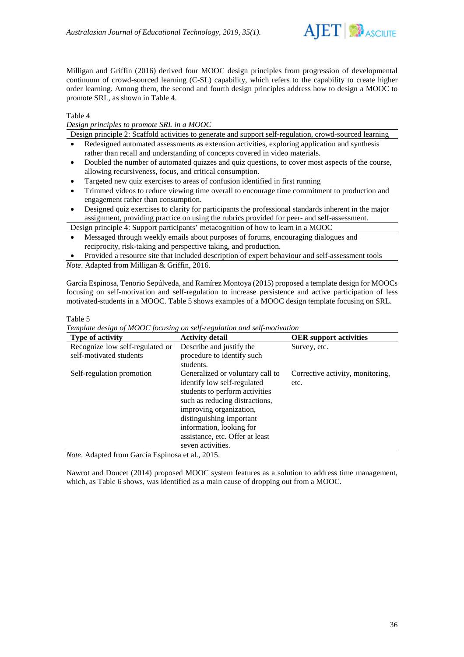

Milligan and Griffin (2016) derived four MOOC design principles from progression of developmental continuum of crowd-sourced learning (C-SL) capability, which refers to the capability to create higher order learning. Among them, the second and fourth design principles address how to design a MOOC to promote SRL, as shown in Table 4.

Table 4

*Design principles to promote SRL in a MOOC*

Design principle 2: Scaffold activities to generate and support self-regulation, crowd-sourced learning

- Redesigned automated assessments as extension activities, exploring application and synthesis rather than recall and understanding of concepts covered in video materials.
- Doubled the number of automated quizzes and quiz questions, to cover most aspects of the course, allowing recursiveness, focus, and critical consumption.
- Targeted new quiz exercises to areas of confusion identified in first running
- Trimmed videos to reduce viewing time overall to encourage time commitment to production and engagement rather than consumption.
- Designed quiz exercises to clarity for participants the professional standards inherent in the major assignment, providing practice on using the rubrics provided for peer- and self-assessment.

Design principle 4: Support participants' metacognition of how to learn in a MOOC

- Messaged through weekly emails about purposes of forums, encouraging dialogues and reciprocity, risk-taking and perspective taking, and production.
- Provided a resource site that included description of expert behaviour and self-assessment tools *Note*. Adapted from Milligan & Griffin, 2016.

García Espinosa, Tenorio Sepúlveda, and Ramírez Montoya (2015) proposed a template design for MOOCs focusing on self-motivation and self-regulation to increase persistence and active participation of less motivated-students in a MOOC. Table 5 shows examples of a MOOC design template focusing on SRL.

Table 5

*Template design of MOOC focusing on self-regulation and self-motivation*

| <b>Type of activity</b>                                                                                                                                                                                                                                                                                                                                         | <b>Activity detail</b>           | <b>OER</b> support activities    |
|-----------------------------------------------------------------------------------------------------------------------------------------------------------------------------------------------------------------------------------------------------------------------------------------------------------------------------------------------------------------|----------------------------------|----------------------------------|
| Recognize low self-regulated or                                                                                                                                                                                                                                                                                                                                 | Describe and justify the         | Survey, etc.                     |
| self-motivated students                                                                                                                                                                                                                                                                                                                                         | procedure to identify such       |                                  |
|                                                                                                                                                                                                                                                                                                                                                                 | students.                        |                                  |
| Self-regulation promotion                                                                                                                                                                                                                                                                                                                                       | Generalized or voluntary call to | Corrective activity, monitoring, |
|                                                                                                                                                                                                                                                                                                                                                                 | identify low self-regulated      | etc.                             |
|                                                                                                                                                                                                                                                                                                                                                                 | students to perform activities   |                                  |
|                                                                                                                                                                                                                                                                                                                                                                 | such as reducing distractions,   |                                  |
|                                                                                                                                                                                                                                                                                                                                                                 | improving organization,          |                                  |
|                                                                                                                                                                                                                                                                                                                                                                 | distinguishing important         |                                  |
|                                                                                                                                                                                                                                                                                                                                                                 | information, looking for         |                                  |
|                                                                                                                                                                                                                                                                                                                                                                 | assistance, etc. Offer at least  |                                  |
|                                                                                                                                                                                                                                                                                                                                                                 | seven activities.                |                                  |
| $\mathcal{M}$ , $\mathcal{M}$ , $\mathcal{M}$ , $\mathcal{M}$ , $\mathcal{M}$ , $\mathcal{M}$ , $\mathcal{M}$ , $\mathcal{M}$ , $\mathcal{M}$ , $\mathcal{M}$ , $\mathcal{M}$ , $\mathcal{M}$ , $\mathcal{M}$ , $\mathcal{M}$ , $\mathcal{M}$ , $\mathcal{M}$ , $\mathcal{M}$ , $\mathcal{M}$ , $\mathcal{M}$ , $\mathcal{M}$ , $\mathcal{M}$ , $\mathcal{M}$ , |                                  |                                  |

*Note*. Adapted from García Espinosa et al., 2015.

Nawrot and Doucet (2014) proposed MOOC system features as a solution to address time management, which, as Table 6 shows, was identified as a main cause of dropping out from a MOOC.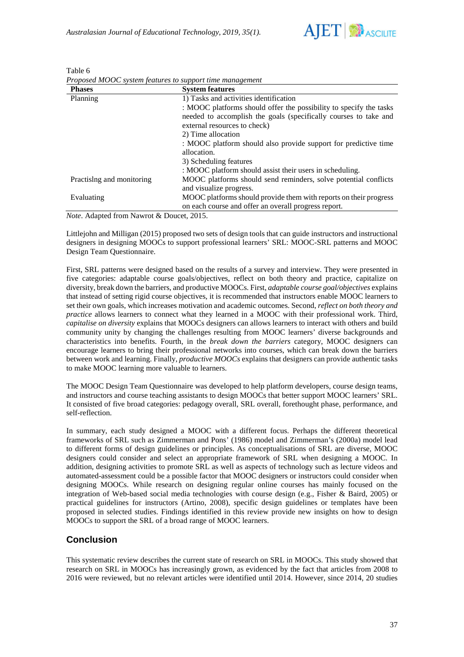

| <b>Phases</b>             | <b>System features</b>                                             |
|---------------------------|--------------------------------------------------------------------|
| Planning                  | 1) Tasks and activities identification                             |
|                           | : MOOC platforms should offer the possibility to specify the tasks |
|                           | needed to accomplish the goals (specifically courses to take and   |
|                           | external resources to check)                                       |
|                           | 2) Time allocation                                                 |
|                           | : MOOC platform should also provide support for predictive time    |
|                           | allocation.                                                        |
|                           | 3) Scheduling features                                             |
|                           | : MOOC platform should assist their users in scheduling.           |
| Practislng and monitoring | MOOC platforms should send reminders, solve potential conflicts    |
|                           | and visualize progress.                                            |
| Evaluating                | MOOC platforms should provide them with reports on their progress  |
|                           | on each course and offer an overall progress report.               |

Table 6 *Proposed MOOC system features to support time management*

*Note*. Adapted from Nawrot & Doucet, 2015.

Littlejohn and Milligan (2015) proposed two sets of design tools that can guide instructors and instructional designers in designing MOOCs to support professional learners' SRL: MOOC-SRL patterns and MOOC Design Team Questionnaire.

First, SRL patterns were designed based on the results of a survey and interview. They were presented in five categories: adaptable course goals/objectives, reflect on both theory and practice, capitalize on diversity, break down the barriers, and productive MOOCs. First, *adaptable course goal/objectives* explains that instead of setting rigid course objectives, it is recommended that instructors enable MOOC learners to set their own goals, which increases motivation and academic outcomes. Second, *reflect on both theory and practice* allows learners to connect what they learned in a MOOC with their professional work. Third, *capitalise on diversity* explains that MOOCs designers can allows learners to interact with others and build community unity by changing the challenges resulting from MOOC learners' diverse backgrounds and characteristics into benefits. Fourth, in the *break down the barriers* category, MOOC designers can encourage learners to bring their professional networks into courses, which can break down the barriers between work and learning. Finally, *productive MOOCs* explains that designers can provide authentic tasks to make MOOC learning more valuable to learners.

The MOOC Design Team Questionnaire was developed to help platform developers, course design teams, and instructors and course teaching assistants to design MOOCs that better support MOOC learners' SRL. It consisted of five broad categories: pedagogy overall, SRL overall, forethought phase, performance, and self-reflection.

In summary, each study designed a MOOC with a different focus. Perhaps the different theoretical frameworks of SRL such as Zimmerman and Pons' (1986) model and Zimmerman's (2000a) model lead to different forms of design guidelines or principles. As conceptualisations of SRL are diverse, MOOC designers could consider and select an appropriate framework of SRL when designing a MOOC. In addition, designing activities to promote SRL as well as aspects of technology such as lecture videos and automated-assessment could be a possible factor that MOOC designers or instructors could consider when designing MOOCs. While research on designing regular online courses has mainly focused on the integration of Web-based social media technologies with course design (e.g., Fisher & Baird, 2005) or practical guidelines for instructors (Artino, 2008), specific design guidelines or templates have been proposed in selected studies. Findings identified in this review provide new insights on how to design MOOCs to support the SRL of a broad range of MOOC learners.

# **Conclusion**

This systematic review describes the current state of research on SRL in MOOCs. This study showed that research on SRL in MOOCs has increasingly grown, as evidenced by the fact that articles from 2008 to 2016 were reviewed, but no relevant articles were identified until 2014. However, since 2014, 20 studies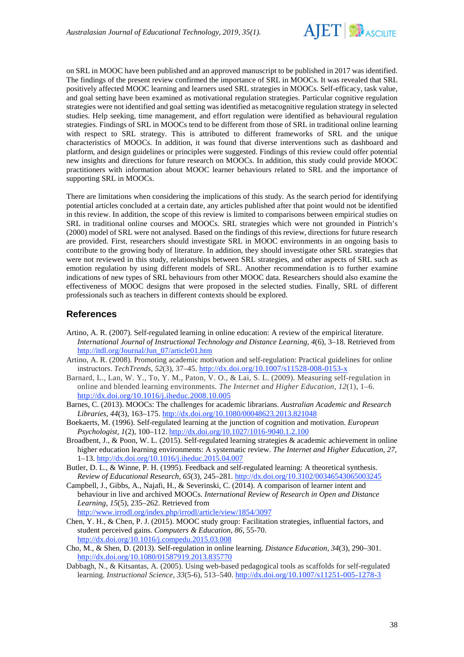

on SRL in MOOC have been published and an approved manuscript to be published in 2017 was identified. The findings of the present review confirmed the importance of SRL in MOOCs. It was revealed that SRL positively affected MOOC learning and learners used SRL strategies in MOOCs. Self-efficacy, task value, and goal setting have been examined as motivational regulation strategies. Particular cognitive regulation strategies were not identified and goal setting was identified as metacognitive regulation strategy in selected studies. Help seeking, time management, and effort regulation were identified as behavioural regulation strategies. Findings of SRL in MOOCs tend to be different from those of SRL in traditional online learning with respect to SRL strategy. This is attributed to different frameworks of SRL and the unique characteristics of MOOCs. In addition, it was found that diverse interventions such as dashboard and platform, and design guidelines or principles were suggested. Findings of this review could offer potential new insights and directions for future research on MOOCs. In addition, this study could provide MOOC practitioners with information about MOOC learner behaviours related to SRL and the importance of supporting SRL in MOOCs.

There are limitations when considering the implications of this study. As the search period for identifying potential articles concluded at a certain date, any articles published after that point would not be identified in this review. In addition, the scope of this review is limited to comparisons between empirical studies on SRL in traditional online courses and MOOCs. SRL strategies which were not grounded in Pintrich's (2000) model of SRL were not analysed. Based on the findings of this review, directions for future research are provided. First, researchers should investigate SRL in MOOC environments in an ongoing basis to contribute to the growing body of literature. In addition, they should investigate other SRL strategies that were not reviewed in this study, relationships between SRL strategies, and other aspects of SRL such as emotion regulation by using different models of SRL. Another recommendation is to further examine indications of new types of SRL behaviours from other MOOC data. Researchers should also examine the effectiveness of MOOC designs that were proposed in the selected studies. Finally, SRL of different professionals such as teachers in different contexts should be explored.

# **References**

- Artino, A. R. (2007). Self-regulated learning in online education: A review of the empirical literature. *International Journal of Instructional Technology and Distance Learning, 4*(6), 3–18. Retrieved from [http://itdl.org/Journal/Jun\\_07/article01.htm](http://itdl.org/Journal/Jun_07/article01.htm)
- Artino, A. R. (2008). Promoting academic motivation and self-regulation: Practical guidelines for online instructors. *TechTrends, 52*(3), 37–45.<http://dx.doi.org/10.1007/s11528-008-0153-x>
- Barnard, L., Lan, W. Y., To, Y. M., Paton, V. O., & Lai, S. L. (2009). Measuring self-regulation in online and blended learning environments. *The Internet and Higher Education, 12*(1), 1–6. <http://dx.doi.org/10.1016/j.iheduc.2008.10.005>
- Barnes, C. (2013). MOOCs: The challenges for academic librarians. *Australian Academic and Research Libraries, 44*(3), 163–175. <http://dx.doi.org/10.1080/00048623.2013.821048>
- Boekaerts, M. (1996). Self-regulated learning at the junction of cognition and motivation. *European Psychologist, 1*(2), 100–112. <http://dx.doi.org/10.1027/1016-9040.1.2.100>
- Broadbent, J., & Poon, W. L. (2015). Self-regulated learning strategies & academic achievement in online higher education learning environments: A systematic review. *The Internet and Higher Education, 27,* 1–13.<http://dx.doi.org/10.1016/j.iheduc.2015.04.007>
- Butler, D. L., & Winne, P. H. (1995). Feedback and self-regulated learning: A theoretical synthesis. *Review of Educational Research, 65*(3), 245–281. <http://dx.doi.org/10.3102/00346543065003245>
- Campbell, J., Gibbs, A., Najafi, H., & Severinski, C. (2014). A comparison of learner intent and behaviour in live and archived MOOCs. *International Review of Research in Open and Distance Learning, 15*(5), 235–262. Retrieved from <http://www.irrodl.org/index.php/irrodl/article/view/1854/3097>
- Chen, Y. H., & Chen, P. J. (2015). MOOC study group: Facilitation strategies, influential factors, and student perceived gains. *Computers & Education, 86*, 55-70. <http://dx.doi.org/10.1016/j.compedu.2015.03.008>
- Cho, M., & Shen, D. (2013). Self-regulation in online learning. *Distance Education, 34*(3), 290–301. <http://dx.doi.org/10.1080/01587919.2013.835770>
- Dabbagh, N., & Kitsantas, A. (2005). Using web-based pedagogical tools as scaffolds for self-regulated learning. *Instructional Science, 33*(5-6), 513–540[. http://dx.doi.org/10.1007/s11251-005-1278-3](http://dx.doi.org/10.1007/s11251-005-1278-3)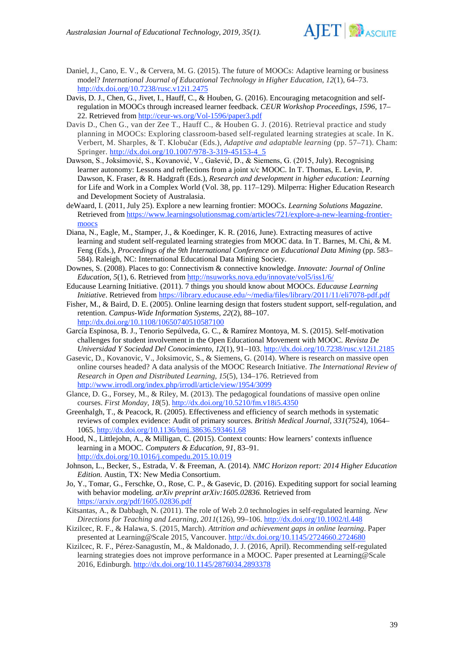

- Daniel, J., Cano, E. V., & Cervera, M. G. (2015). The future of MOOCs: Adaptive learning or business model? *International Journal of Educational Technology in Higher Education, 12*(1), 64–73. <http://dx.doi.org/10.7238/rusc.v12i1.2475>
- Davis, D. J., Chen, G., Jivet, I., Hauff, C., & Houben, G. (2016). Encouraging metacognition and selfregulation in MOOCs through increased learner feedback. *CEUR Workshop Proceedings*, *1596*, 17– 22. Retrieved fro[m http://ceur-ws.org/Vol-1596/paper3.pdf](http://ceur-ws.org/Vol-1596/paper3.pdf)
- Davis D., Chen G., van der Zee T., Hauff C., & Houben G. J. (2016). Retrieval practice and study planning in MOOCs: Exploring classroom-based self-regulated learning strategies at scale. In K. Verbert, M. Sharples, & T. Klobučar (Eds.), *Adaptive and adaptable learning* (pp. 57–71). Cham: Springer. [http://dx.doi.org/10.1007/978-3-319-45153-4\\_5](http://dx.doi.org/10.1007/978-3-319-45153-4_5)
- Dawson, S., Joksimović, S., Kovanović, V., Gašević, D., & Siemens, G. (2015, July). Recognising learner autonomy: Lessons and reflections from a joint x/c MOOC. In T. Thomas, E. Levin, P. Dawson, K. Fraser, & R. Hadgraft (Eds.), *Research and development in higher education: Learning*  for Life and Work in a Complex World (Vol. 38, pp. 117–129). Milperra: Higher Education Research and Development Society of Australasia.
- deWaard, I. (2011, July 25). Explore a new learning frontier: MOOCs. *Learning Solutions Magazine.*  Retrieved fro[m https://www.learningsolutionsmag.com/articles/721/explore-a-new-learning-frontier](https://www.learningsolutionsmag.com/articles/721/explore-a-new-learning-frontier-moocs)[moocs](https://www.learningsolutionsmag.com/articles/721/explore-a-new-learning-frontier-moocs)
- Diana, N., Eagle, M., Stamper, J., & Koedinger, K. R. (2016, June). Extracting measures of active learning and student self-regulated learning strategies from MOOC data. In T. Barnes, M. Chi, & M. Feng (Eds.), *Proceedings of the 9th International Conference on Educational Data Mining* (pp. 583– 584). Raleigh, NC: International Educational Data Mining Society.
- Downes, S. (2008). Places to go: Connectivism & connective knowledge. *Innovate: Journal of Online Education*, *5*(1), 6. Retrieved from<http://nsuworks.nova.edu/innovate/vol5/iss1/6/>
- Educause Learning Initiative. (2011). 7 things you should know about MOOCs. *Educause Learning Initiative*. Retrieved fro[m https://library.educause.edu/~/media/files/library/2011/11/eli7078-pdf.pdf](https://library.educause.edu/%7E/media/files/library/2011/11/eli7078-pdf.pdf)
- Fisher, M., & Baird, D. E. (2005). Online learning design that fosters student support, self-regulation, and retention. *Campus-Wide Information Systems, 22*(2), 88–107. <http://dx.doi.org/10.1108/10650740510587100>
- García Espinosa, B. J., Tenorio Sepúlveda, G. C., & Ramírez Montoya, M. S. (2015). Self-motivation challenges for student involvement in the Open Educational Movement with MOOC. *Revista De Universidad Y Sociedad Del Conocimiento, 12*(1), 91–103.<http://dx.doi.org/10.7238/rusc.v12i1.2185>
- Gasevic, D., Kovanovic, V., Joksimovic, S., & Siemens, G. (2014). Where is research on massive open online courses headed? A data analysis of the MOOC Research Initiative. *The International Review of Research in Open and Distributed Learning, 15*(5), 134–176. Retrieved from <http://www.irrodl.org/index.php/irrodl/article/view/1954/3099>
- Glance, D. G., Forsey, M., & Riley, M. (2013). The pedagogical foundations of massive open online courses. *First Monday, 18*(5). <http://dx.doi.org/10.5210/fm.v18i5.4350>
- Greenhalgh, T., & Peacock, R. (2005). Effectiveness and efficiency of search methods in systematic reviews of complex evidence: Audit of primary sources. *British Medical Journal, 331*(7524), 1064– 1065.<http://dx.doi.org/10.1136/bmj.38636.593461.68>
- Hood, N., Littlejohn, A., & Milligan, C. (2015). Context counts: How learners' contexts influence learning in a MOOC. *Computers & Education, 91*, 83–91. <http://dx.doi.org/10.1016/j.compedu.2015.10.019>
- Johnson, L., Becker, S., Estrada, V. & Freeman, A. (2014)*. NMC Horizon report: 2014 Higher Education Edition.* Austin, TX: New Media Consortium.
- Jo, Y., Tomar, G., Ferschke, O., Rose, C. P., & Gasevic, D. (2016). Expediting support for social learning with behavior modeling. *arXiv preprint arXiv:1605.02836.* Retrieved from <https://arxiv.org/pdf/1605.02836.pdf>
- Kitsantas, A., & Dabbagh, N. (2011). The role of Web 2.0 technologies in self-regulated learning. *New Directions for Teaching and Learning, 2011*(126), 99–106[. http://dx.doi.org/10.1002/tl.448](http://dx.doi.org/10.1002/tl.448)
- Kizilcec, R. F., & Halawa, S. (2015, March). *Attrition and achievement gaps in online learning*. Paper presented at Learning@Scale 2015, Vancouver.<http://dx.doi.org/10.1145/2724660.2724680>
- Kizilcec, R. F., Pérez-Sanagustín, M., & Maldonado, J. J. (2016, April). Recommending self-regulated learning strategies does not improve performance in a MOOC. Paper presented at Learning@Scale 2016, Edinburgh.<http://dx.doi.org/10.1145/2876034.2893378>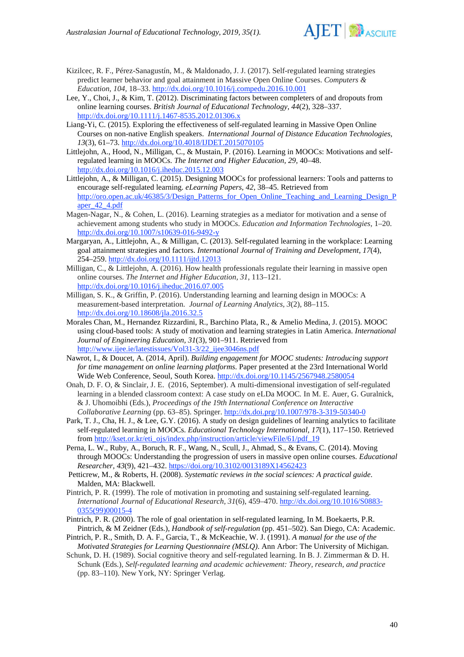

- Kizilcec, R. F., Pérez-Sanagustín, M., & Maldonado, J. J. (2017). Self-regulated learning strategies predict learner behavior and goal attainment in Massive Open Online Courses. *Computers & Education, 104,* 18–33.<http://dx.doi.org/10.1016/j.compedu.2016.10.001>
- Lee, Y., Choi, J., & Kim, T. (2012). Discriminating factors between completers of and dropouts from online learning courses. *British Journal of Educational Technology*, *44*(2), 328–337. <http://dx.doi.org/10.1111/j.1467-8535.2012.01306.x>
- Liang-Yi, C. (2015). Exploring the effectiveness of self-regulated learning in Massive Open Online Courses on non-native English speakers. *International Journal of Distance Education Technologies, 13*(3), 61–73.<http://dx.doi.org/10.4018/IJDET.2015070105>
- Littlejohn, A., Hood, N., Milligan, C., & Mustain, P. (2016). Learning in MOOCs: Motivations and selfregulated learning in MOOCs. *The Internet and Higher Education, 29,* 40–48. <http://dx.doi.org/10.1016/j.iheduc.2015.12.003>
- Littlejohn, A., & Milligan, C. (2015). Designing MOOCs for professional learners: Tools and patterns to encourage self-regulated learning. *eLearning Papers, 42*, 38–45. Retrieved from [http://oro.open.ac.uk/46385/3/Design\\_Patterns\\_for\\_Open\\_Online\\_Teaching\\_and\\_Learning\\_Design\\_P](http://oro.open.ac.uk/46385/3/Design_Patterns_for_Open_Online_Teaching_and_Learning_Design_Paper_42_4.pdf) [aper\\_42\\_4.pdf](http://oro.open.ac.uk/46385/3/Design_Patterns_for_Open_Online_Teaching_and_Learning_Design_Paper_42_4.pdf)
- Magen-Nagar, N., & Cohen, L. (2016). Learning strategies as a mediator for motivation and a sense of achievement among students who study in MOOCs. *Education and Information Technologies,* 1–20. <http://dx.doi.org/10.1007/s10639-016-9492-y>
- Margaryan, A., Littlejohn, A., & Milligan, C. (2013). Self-regulated learning in the workplace: Learning goal attainment strategies and factors. *International Journal of Training and Development, 17*(4), 254–259.<http://dx.doi.org/10.1111/ijtd.12013>
- Milligan, C., & Littlejohn, A. (2016). How health professionals regulate their learning in massive open online courses. *The Internet and Higher Education, 31*, 113–121. <http://dx.doi.org/10.1016/j.iheduc.2016.07.005>
- Milligan, S. K., & Griffin, P. (2016). Understanding learning and learning design in MOOCs: A measurement-based interpretation. *Journal of Learning Analytics, 3*(2), 88–115. <http://dx.doi.org/10.18608/jla.2016.32.5>
- Morales Chan, M., Hernandez Rizzardini, R., Barchino Plata, R., & Amelio Medina, J. (2015). MOOC using cloud-based tools: A study of motivation and learning strategies in Latin America. *International Journal of Engineering Education, 31*(3), 901–911. Retrieved from [http://www.ijee.ie/latestissues/Vol31-3/22\\_ijee3046ns.pdf](http://www.ijee.ie/latestissues/Vol31-3/22_ijee3046ns.pdf)
- Nawrot, I., & Doucet, A. (2014, April). *Building engagement for MOOC students: Introducing support for time management on online learning platforms*. Paper presented at the 23rd International World Wide Web Conference, Seoul, South Korea. <http://dx.doi.org/10.1145/2567948.2580054>
- Onah, D. F. O, & Sinclair, J. E. (2016, September). A multi-dimensional investigation of self-regulated learning in a blended classroom context: A case study on eLDa MOOC*.* In M. E. Auer, G. Guralnick, & J. Uhomoibhi (Eds.), *Proceedings of the 19th International Conference on Interactive Collaborative Learning* (pp. 63–85). Springer[. http://dx.doi.prg/10.1007/978-3-319-50340-0](http://dx.doi.prg/10.1007/978-3-319-50340-0)
- Park, T. J., Cha, H. J., & Lee, G.Y. (2016). A study on design guidelines of learning analytics to facilitate self-regulated learning in MOOCs. *Educational Technology International, 17*(1), 117–150. Retrieved from [http://kset.or.kr/eti\\_ojs/index.php/instruction/article/viewFile/61/pdf\\_19](http://kset.or.kr/eti_ojs/index.php/instruction/article/viewFile/61/pdf_19)
- Perna, L. W., Ruby, A., Boruch, R. F., Wang, N., Scull, J., Ahmad, S., & Evans, C. (2014). Moving through MOOCs: Understanding the progression of users in massive open online courses. *Educational Researcher, 43*(9), 421–432[. https://doi.org/10.3102/0013189X14562423](https://doi.org/10.3102/0013189X14562423)
- Petticrew, M., & Roberts, H. (2008). *Systematic reviews in the social sciences: A practical guide*. Malden, MA: Blackwell.
- Pintrich, P. R. (1999). The role of motivation in promoting and sustaining self-regulated learning. *International Journal of Educational Research, 31*(6), 459–470. http://dx.doi.org/10.1016/S0883- 0355(99)00015-4
- Pintrich, P. R. (2000). The role of goal orientation in self-regulated learning, In M. Boekaerts, P.R. Pintrich, & M Zeidner (Eds.), *Handbook of self-regulation* (pp. 451–502). San Diego, CA: Academic.
- Pintrich, P. R., Smith, D. A. F., Garcia, T., & McKeachie, W. J. (1991). *A manual for the use of the Motivated Strategies for Learning Questionnaire (MSLQ)*. Ann Arbor: The University of Michigan.
- Schunk, D. H. (1989). Social cognitive theory and self-regulated learning. In B. J. Zimmerman & D. H. Schunk (Eds.), *Self-regulated learning and academic achievement: Theory, research, and practice* (pp. 83–110). New York, NY: Springer Verlag.